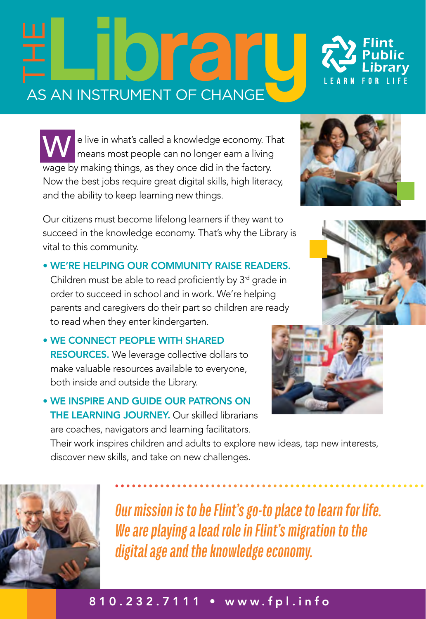## $\mathcal{F}[\Box]$   $\bigcirc$   $\mathcal{F}[\Box]$

W e live in what's called a knowledge economy. That means most people can no longer earn a living wage by making things, as they once did in the factory. Now the best jobs require great digital skills, high literacy, and the ability to keep learning new things.

Our citizens must become lifelong learners if they want to succeed in the knowledge economy. That's why the Library is vital to this community.

• WE'RE HELPING OUR COMMUNITY RAISE READERS. Children must be able to read proficiently by  $3<sup>rd</sup>$  grade in order to succeed in school and in work. We're helping parents and caregivers do their part so children are ready to read when they enter kindergarten.

• WE CONNECT PEOPLE WITH SHARED **RESOURCES.** We leverage collective dollars to make valuable resources available to everyone, both inside and outside the Library.

• WE INSPIRE AND GUIDE OUR PATRONS ON THE LEARNING JOURNEY. Our skilled librarians are coaches, navigators and learning facilitators.

Their work inspires children and adults to explore new ideas, tap new interests, discover new skills, and take on new challenges.



*Our mission is to be Flint's go-to place to learn for life. We are playing a lead role in Flint's migration to the digital age and the knowledge economy.*